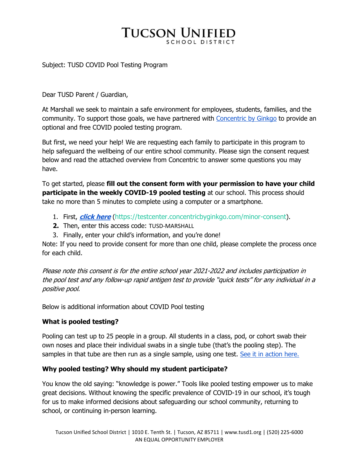# **TUCSON UNIFIED**

#### Subject: TUSD COVID Pool Testing Program

Dear TUSD Parent / Guardian,

At Marshall we seek to maintain a safe environment for employees, students, families, and the community. To support those goals, we have partnered with Concentric by Ginkgo to provide an optional and free COVID pooled testing program.

But first, we need your help! We are requesting each family to participate in this program to help safeguard the wellbeing of our entire school community. Please sign the consent request below and read the attached overview from Concentric to answer some questions you may have.

To get started, please **fill out the consent form with your permission to have your child participate in the weekly COVID-19 pooled testing** at our school. This process should take no more than 5 minutes to complete using a computer or a smartphone.

- 1. First, **click here** (https://testcenter.concentricbyginkgo.com/minor-consent).
- **2.** Then, enter this access code: TUSD-MARSHALL
- 3. Finally, enter your child's information, and you're done!

Note: If you need to provide consent for more than one child, please complete the process once for each child.

Please note this consent is for the entire school year 2021-2022 and includes participation in the pool test and any follow-up rapid antigen test to provide "quick tests" for any individual in a positive pool.

Below is additional information about COVID Pool testing

### **What is pooled testing?**

Pooling can test up to 25 people in a group. All students in a class, pod, or cohort swab their own noses and place their individual swabs in a single tube (that's the pooling step). The samples in that tube are then run as a single sample, using one test. See it in action here.

### **Why pooled testing? Why should my student participate?**

You know the old saying: "knowledge is power." Tools like pooled testing empower us to make great decisions. Without knowing the specific prevalence of COVID-19 in our school, it's tough for us to make informed decisions about safeguarding our school community, returning to school, or continuing in-person learning.